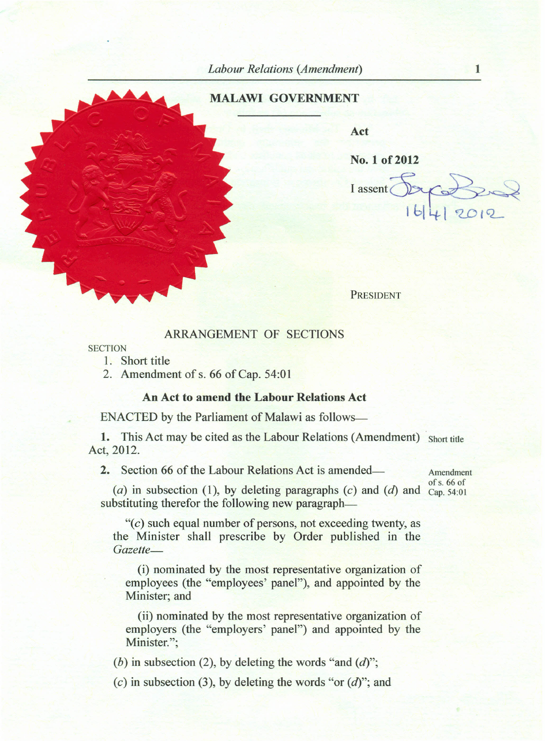## **MALAWI GOVERNMENT**

**Act**

No. 1 of 2012

I assent

PRESIDENT

## ARRANGEMENT OF SECTIONS

## **SECTION**

1. Short title

2. Amendment of s. 66 of Cap. 54:01

## **An Act to amend the Labour Relations Act**

ENACTED by the Parliament of Malawi as follows-

1. This Act may be cited as the Labour Relations (Amendment) Short title Act, 2012.

**2.** Section 66 of the Labour Relations Act is amended—

Amendment of s, 66 of

(a) in subsection (1), by deleting paragraphs  $(c)$  and  $(d)$  and  $\overline{Cap}$ , 54:01 substituting therefor the following new paragraph—

*"(c)* such equal number of persons, not exceeding twenty, as the Minister shall prescribe by Order published in the *Gazette-*

(i) nominated by the most representative organization of employees (the "employees' panel"), and appointed by the Minister; and

(ii) nominated by the most representative organization of employers (the "employers' panel") and appointed by the Minister.":

*(b)* in subsection (2), by deleting the words "and *(d)";*

*(c)* in subsection (3), by deleting the words "or *(d)";* and